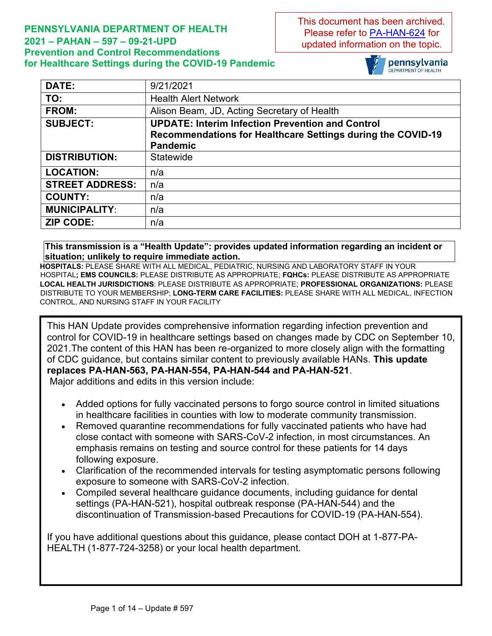#### **PENNSYLVANIA DEPARTMENT OF HEALTH 2021 – PAHAN – 597 – 09-21-UPD Prevention and Control Recommendations for Healthcare Settings during the COVID-19 Pandemic**

This document has been archived. Please refer to [PA-HAN-624](https://www.health.pa.gov/topics/Documents/HAN/2022-624-2-8-UPD-IPC%20for%20Healthcare.pdf) for updated information on the topic.



| DATE:                  | 9/21/2021                                                   |
|------------------------|-------------------------------------------------------------|
| TO:                    | <b>Health Alert Network</b>                                 |
| FROM:                  | Alison Beam, JD, Acting Secretary of Health                 |
| <b>SUBJECT:</b>        | <b>UPDATE: Interim Infection Prevention and Control</b>     |
|                        | Recommendations for Healthcare Settings during the COVID-19 |
|                        | <b>Pandemic</b>                                             |
| <b>DISTRIBUTION:</b>   | Statewide                                                   |
| <b>LOCATION:</b>       | n/a                                                         |
| <b>STREET ADDRESS:</b> | n/a                                                         |
| <b>COUNTY:</b>         | n/a                                                         |
| <b>MUNICIPALITY:</b>   | n/a                                                         |
| <b>ZIP CODE:</b>       | n/a                                                         |

**This transmission is a "Health Update": provides updated information regarding an incident or situation; unlikely to require immediate action.**

**HOSPITALS:** PLEASE SHARE WITH ALL MEDICAL, PEDIATRIC, NURSING AND LABORATORY STAFF IN YOUR HOSPITAL**; EMS COUNCILS:** PLEASE DISTRIBUTE AS APPROPRIATE; **FQHCs:** PLEASE DISTRIBUTE AS APPROPRIATE **LOCAL HEALTH JURISDICTIONS**: PLEASE DISTRIBUTE AS APPROPRIATE; **PROFESSIONAL ORGANIZATIONS:** PLEASE DISTRIBUTE TO YOUR MEMBERSHIP; **LONG-TERM CARE FACILITIES:** PLEASE SHARE WITH ALL MEDICAL, INFECTION CONTROL, AND NURSING STAFF IN YOUR FACILITY

This HAN Update provides comprehensive information regarding infection prevention and control for COVID-19 in healthcare settings based on changes made by CDC on September 10, 2021.The content of this HAN has been re-organized to more closely align with the formatting of CDC guidance, but contains similar content to previously available HANs. **This update replaces PA-HAN-563, PA-HAN-554, PA-HAN-544 and PA-HAN-521**.

Major additions and edits in this version include:

- Added options for fully vaccinated persons to forgo source control in limited situations in healthcare facilities in counties with low to moderate community transmission.
- Removed quarantine recommendations for fully vaccinated patients who have had close contact with someone with SARS-CoV-2 infection, in most circumstances. An emphasis remains on testing and source control for these patients for 14 days following exposure.
- Clarification of the recommended intervals for testing asymptomatic persons following exposure to someone with SARS-CoV-2 infection.
- Compiled several healthcare guidance documents, including guidance for dental settings (PA-HAN-521), hospital outbreak response (PA-HAN-544) and the discontinuation of Transmission-based Precautions for COVID-19 (PA-HAN-554).

If you have additional questions about this guidance, please contact DOH at 1-877-PA-HEALTH (1-877-724-3258) or your local health department.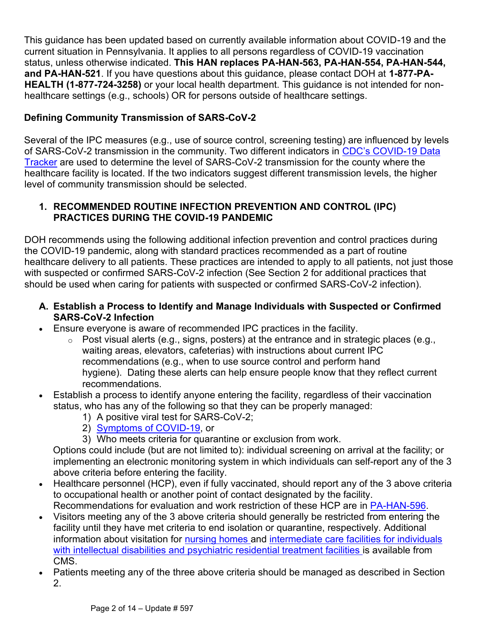This guidance has been updated based on currently available information about COVID-19 and the current situation in Pennsylvania. It applies to all persons regardless of COVID-19 vaccination status, unless otherwise indicated. **This HAN replaces PA-HAN-563, PA-HAN-554, PA-HAN-544, and PA-HAN-521**. If you have questions about this guidance, please contact DOH at **1-877-PA-HEALTH (1-877-724-3258)** or your local health department. This guidance is not intended for nonhealthcare settings (e.g., schools) OR for persons outside of healthcare settings.

# **Defining Community Transmission of SARS-CoV-2**

Several of the IPC measures (e.g., use of source control, screening testing) are influenced by levels of SARS-CoV-2 transmission in the community. Two different indicators in [CDC's COVID](https://covid.cdc.gov/covid-data-tracker/#county-view)-19 Data [Tracker](https://covid.cdc.gov/covid-data-tracker/#county-view) are used to determine the level of SARS-CoV-2 transmission for the county where the healthcare facility is located. If the two indicators suggest different transmission levels, the higher level of community transmission should be selected.

#### **1. RECOMMENDED ROUTINE INFECTION PREVENTION AND CONTROL (IPC) PRACTICES DURING THE COVID-19 PANDEMIC**

DOH recommends using the following additional infection prevention and control practices during the COVID-19 pandemic, along with standard practices recommended as a part of routine healthcare delivery to all patients. These practices are intended to apply to all patients, not just those with suspected or confirmed SARS-CoV-2 infection (See Section 2 for additional practices that should be used when caring for patients with suspected or confirmed SARS-CoV-2 infection).

#### **A. Establish a Process to Identify and Manage Individuals with Suspected or Confirmed SARS-CoV-2 Infection**

- Ensure everyone is aware of recommended IPC practices in the facility.
	- $\circ$  Post visual alerts (e.g., signs, posters) at the entrance and in strategic places (e.g., waiting areas, elevators, cafeterias) with instructions about current IPC recommendations (e.g., when to use source control and perform hand hygiene). Dating these alerts can help ensure people know that they reflect current recommendations.
- Establish a process to identify anyone entering the facility, regardless of their vaccination status, who has any of the following so that they can be properly managed:
	- 1) A positive viral test for SARS-CoV-2;
	- 2) Symptoms [of COVID-19,](https://www.cdc.gov/coronavirus/2019-ncov/symptoms-testing/symptoms.html) or
	- 3) Who meets criteria for quarantine or exclusion from work.

Options could include (but are not limited to): individual screening on arrival at the facility; or implementing an electronic monitoring system in which individuals can self-report any of the 3 above criteria before entering the facility.

- Healthcare personnel (HCP), even if fully vaccinated, should report any of the 3 above criteria to occupational health or another point of contact designated by the facility. Recommendations for evaluation and work restriction of these HCP are in [PA-HAN-596.](https://www.health.pa.gov/topics/Documents/HAN/2021-596-9-16-UPD-Work%20Restrict.pdf)
- Visitors meeting any of the 3 above criteria should generally be restricted from entering the facility until they have met criteria to end isolation or quarantine, respectively. Additional information about visitation for [nursing homes](https://www.cms.gov/medicareprovider-enrollment-and-certificationsurveycertificationgeninfopolicy-and-memos-states-and/nursing-home-visitation-covid-19-revised) and [intermediate care facilities for individuals](https://www.cms.gov/files/document/qso-21-14-icf-iid-prtf.pdf)  [with intellectual disabilities and psychiatric residential treatment facilities](https://www.cms.gov/files/document/qso-21-14-icf-iid-prtf.pdf) is available from CMS.
- Patients meeting any of the three above criteria should be managed as described in Section 2.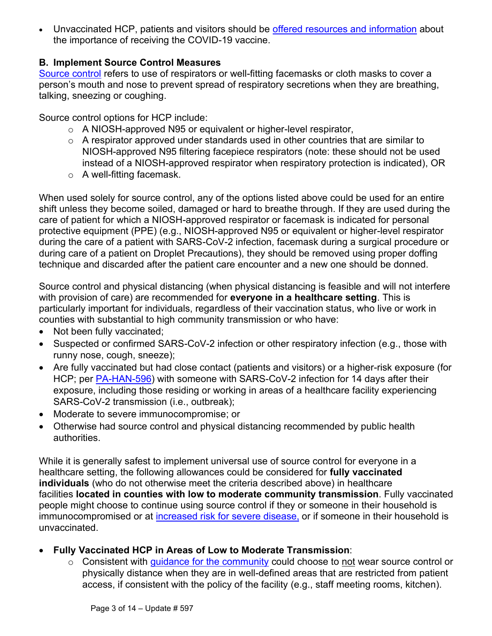• Unvaccinated HCP, patients and visitors should be [offered resources and](https://www.cdc.gov/coronavirus/2019-ncov/vaccines/index.html) information about the importance of receiving the COVID-19 vaccine.

#### **B. Implement Source Control Measures**

[Source control](https://www.cdc.gov/coronavirus/2019-ncov/hcp/infection-control-recommendations.html#sourcecontrol) refers to use of respirators or well-fitting facemasks or cloth masks to cover a person's mouth and nose to prevent spread of respiratory secretions when they are breathing, talking, sneezing or coughing.

Source control options for HCP include:

- o A NIOSH-approved N95 or equivalent or higher-level respirator,
- o A respirator approved under standards used in other countries that are similar to NIOSH-approved N95 filtering facepiece respirators (note: these should not be used instead of a NIOSH-approved respirator when respiratory protection is indicated), OR
- $\circ$  A well-fitting facemask.

When used solely for source control, any of the options listed above could be used for an entire shift unless they become soiled, damaged or hard to breathe through. If they are used during the care of patient for which a NIOSH-approved respirator or facemask is indicated for personal protective equipment (PPE) (e.g., NIOSH-approved N95 or equivalent or higher-level respirator during the care of a patient with SARS-CoV-2 infection, facemask during a surgical procedure or during care of a patient on Droplet Precautions), they should be removed using proper doffing technique and discarded after the patient care encounter and a new one should be donned.

Source control and physical distancing (when physical distancing is feasible and will not interfere with provision of care) are recommended for **everyone in a healthcare setting**. This is particularly important for individuals, regardless of their vaccination status, who live or work in counties with substantial to high community transmission or who have:

- Not been fully vaccinated;
- Suspected or confirmed SARS-CoV-2 infection or other respiratory infection (e.g., those with runny nose, cough, sneeze);
- Are fully vaccinated but had close contact (patients and visitors) or a higher-risk exposure (for HCP; per [PA-HAN-596\)](https://www.health.pa.gov/topics/Documents/HAN/2021-596-9-16-UPD-Work%20Restrict.pdf) with someone with SARS-CoV-2 infection for 14 days after their exposure, including those residing or working in areas of a healthcare facility experiencing SARS-CoV-2 transmission (i.e., outbreak);
- Moderate to severe immunocompromise; or
- Otherwise had source control and physical distancing recommended by public health authorities.

While it is generally safest to implement universal use of source control for everyone in a healthcare setting, the following allowances could be considered for **fully vaccinated individuals** (who do not otherwise meet the criteria described above) in healthcare facilities **located in counties with low to moderate community transmission**. Fully vaccinated people might choose to continue using source control if they or someone in their household is immunocompromised or at [increased risk for severe disease](https://www.cdc.gov/coronavirus/2019-ncov/need-extra-precautions/people-with-medical-conditions.html), or if someone in their household is unvaccinated.

- **Fully Vaccinated HCP in Areas of Low to Moderate Transmission**:
	- o Consistent with [guidance for the community](https://www.cdc.gov/coronavirus/2019-ncov/vaccines/fully-vaccinated-guidance.html) could choose to not wear source control or physically distance when they are in well-defined areas that are restricted from patient access, if consistent with the policy of the facility (e.g., staff meeting rooms, kitchen).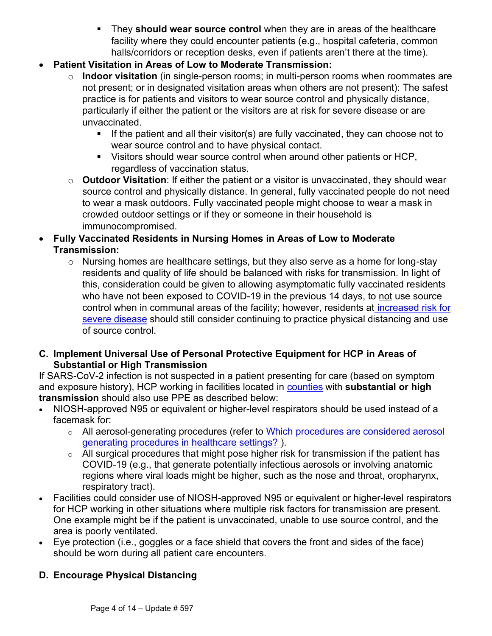- **They should wear source control** when they are in areas of the healthcare facility where they could encounter patients (e.g., hospital cafeteria, common halls/corridors or reception desks, even if patients aren't there at the time).
- **Patient Visitation in Areas of Low to Moderate Transmission:**
	- o **Indoor visitation** (in single-person rooms; in multi-person rooms when roommates are not present; or in designated visitation areas when others are not present): The safest practice is for patients and visitors to wear source control and physically distance, particularly if either the patient or the visitors are at risk for severe disease or are unvaccinated.
		- If the patient and all their visitor(s) are fully vaccinated, they can choose not to wear source control and to have physical contact.
		- Visitors should wear source control when around other patients or HCP, regardless of vaccination status.
	- o **Outdoor Visitation**: If either the patient or a visitor is unvaccinated, they should wear source control and physically distance. In general, fully vaccinated people do not need to wear a mask outdoors. Fully vaccinated people might choose to wear a mask in crowded outdoor settings or if they or someone in their household is immunocompromised.
- **Fully Vaccinated Residents in Nursing Homes in Areas of Low to Moderate Transmission:**
	- o Nursing homes are healthcare settings, but they also serve as a home for long-stay residents and quality of life should be balanced with risks for transmission. In light of this, consideration could be given to allowing asymptomatic fully vaccinated residents who have not been exposed to COVID-19 in the previous 14 days, to not use source control when in communal areas of the facility; however, residents at [increased risk for](https://www.cdc.gov/coronavirus/2019-ncov/need-extra-precautions/people-with-medical-conditions.html)  [severe disease](https://www.cdc.gov/coronavirus/2019-ncov/need-extra-precautions/people-with-medical-conditions.html) should still consider continuing to practice physical distancing and use of source control.
- **C. Implement Universal Use of Personal Protective Equipment for HCP in Areas of Substantial or High Transmission**

If SARS-CoV-2 infection is not suspected in a patient presenting for care (based on symptom and exposure history), HCP working in facilities located in [counties](https://covid.cdc.gov/covid-data-tracker/#county-view) with **substantial or high transmission** should also use PPE as described below:

- NIOSH-approved N95 or equivalent or higher-level respirators should be used instead of a facemask for:
	- o All aerosol-generating procedures (refer to [Which procedures are considered aerosol](https://www.cdc.gov/coronavirus/2019-ncov/hcp/faq.html#Infection-Control)  [generating procedures in healthcare settings?](https://www.cdc.gov/coronavirus/2019-ncov/hcp/faq.html#Infection-Control) ).
	- $\circ$  All surgical procedures that might pose higher risk for transmission if the patient has COVID-19 (e.g., that generate potentially infectious aerosols or involving anatomic regions where viral loads might be higher, such as the nose and throat, oropharynx, respiratory tract).
- Facilities could consider use of NIOSH-approved N95 or equivalent or higher-level respirators for HCP working in other situations where multiple risk factors for transmission are present. One example might be if the patient is unvaccinated, unable to use source control, and the area is poorly ventilated.
- Eye protection (i.e., goggles or a face shield that covers the front and sides of the face) should be worn during all patient care encounters.

### **D. Encourage Physical Distancing**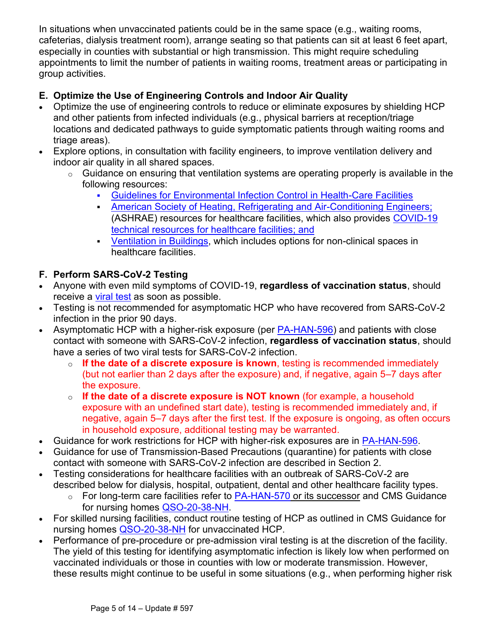In situations when unvaccinated patients could be in the same space (e.g., waiting rooms, cafeterias, dialysis treatment room), arrange seating so that patients can sit at least 6 feet apart, especially in counties with substantial or high transmission. This might require scheduling appointments to limit the number of patients in waiting rooms, treatment areas or participating in group activities.

# **E. Optimize the Use of Engineering Controls and Indoor Air Quality**

- Optimize the use of engineering controls to reduce or eliminate exposures by shielding HCP and other patients from infected individuals (e.g., physical barriers at reception/triage locations and dedicated pathways to guide symptomatic patients through waiting rooms and triage areas).
- Explore options, in consultation with facility engineers, to improve ventilation delivery and indoor air quality in all shared spaces.
	- $\circ$  Guidance on ensuring that ventilation systems are operating properly is available in the following resources:
		- [Guidelines for Environmental Infection Control in Health-Care Facilities](https://www.cdc.gov/infectioncontrol/guidelines/environmental/background/air.html)
		- **EXEDENT [American Society of Heating, Refrigerating and Air-Conditioning Engineers;](https://www.ashrae.org/technical-resources/bookstore/health-care-facilities-resources)** (ASHRAE) resources for healthcare facilities, which also provides [COVID-19](https://www.ashrae.org/technical-resources/healthcare)  [technical resources for healthcare facilities;](https://www.ashrae.org/technical-resources/healthcare) and
		- **EXECTED [Ventilation in Buildings,](https://www.cdc.gov/coronavirus/2019-ncov/community/ventilation.html) which includes options for non-clinical spaces in** healthcare facilities.

### **F. Perform SARS-CoV-2 Testing**

- Anyone with even mild symptoms of COVID-19, **regardless of vaccination status**, should receive a [viral test](https://www.cdc.gov/coronavirus/2019-ncov/symptoms-testing/testing.html) as soon as possible.
- Testing is not recommended for asymptomatic HCP who have recovered from SARS-CoV-2 infection in the prior 90 days.
- Asymptomatic HCP with a higher-risk exposure (per [PA-HAN-596\)](https://www.health.pa.gov/topics/Documents/HAN/2021-596-9-16-UPD-Work%20Restrict.pdf) and patients with close contact with someone with SARS-CoV-2 infection, **regardless of vaccination status**, should have a series of two viral tests for SARS-CoV-2 infection.
	- o **If the date of a discrete exposure is known**, testing is recommended immediately (but not earlier than 2 days after the exposure) and, if negative, again 5–7 days after the exposure.
	- o **If the date of a discrete exposure is NOT known** (for example, a household exposure with an undefined start date), testing is recommended immediately and, if negative, again 5–7 days after the first test. If the exposure is ongoing, as often occurs in household exposure, additional testing may be warranted.
- Guidance for work restrictions for HCP with higher-risk exposures are in [PA-HAN-596.](https://www.health.pa.gov/topics/Documents/HAN/2021-596-9-16-UPD-Work%20Restrict.pdf)
- Guidance for use of Transmission-Based Precautions (quarantine) for patients with close contact with someone with SARS-CoV-2 infection are described in Section 2.
- Testing considerations for healthcare facilities with an outbreak of SARS-CoV-2 are described below for dialysis, hospital, outpatient, dental and other healthcare facility types.
	- $\circ$  For long-term care facilities refer to [PA-HAN-570](https://www.health.pa.gov/topics/Documents/HAN/2021-570-5-10-UPD-LTCF%20OB%20Response.pdf) or its successor and CMS Guidance for nursing homes [QSO-20-38-NH.](https://www.cms.gov/files/document/qso-20-38-nh-revised.pdf)
- For skilled nursing facilities, conduct routine testing of HCP as outlined in CMS Guidance for nursing homes [QSO-20-38-NH](https://www.cms.gov/files/document/qso-20-38-nh-revised.pdf) for unvaccinated HCP.
- Performance of pre-procedure or pre-admission viral testing is at the discretion of the facility. The yield of this testing for identifying asymptomatic infection is likely low when performed on vaccinated individuals or those in counties with low or moderate transmission. However, these results might continue to be useful in some situations (e.g., when performing higher risk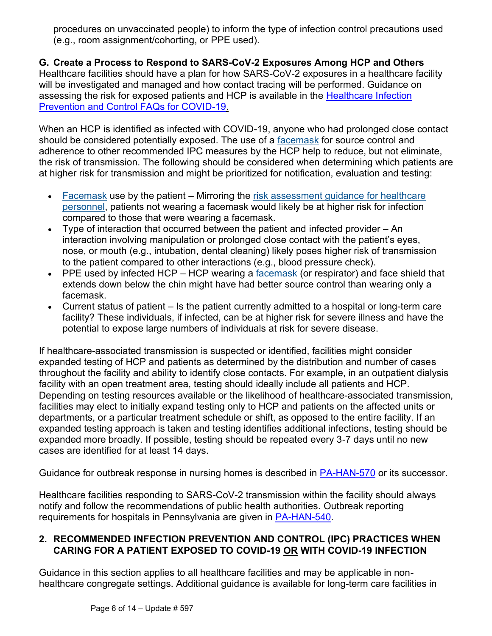procedures on unvaccinated people) to inform the type of infection control precautions used (e.g., room assignment/cohorting, or PPE used).

#### **G. Create a Process to Respond to SARS-CoV-2 Exposures Among HCP and Others**

Healthcare facilities should have a plan for how SARS-CoV-2 exposures in a healthcare facility will be investigated and managed and how contact tracing will be performed. Guidance on assessing the risk for exposed patients and HCP is available in the Healthcare Infection [Prevention and Control FAQs for COVID-19.](https://www.cdc.gov/coronavirus/2019-ncov/hcp/faq.html#Infection-Control)

When an HCP is identified as infected with COVID-19, anyone who had prolonged close contact should be considered potentially exposed. The use of a [facemask](https://www.cdc.gov/coronavirus/2019-ncov/hcp/infection-control-recommendations.html#facemask) for source control and adherence to other recommended IPC measures by the HCP help to reduce, but not eliminate, the risk of transmission. The following should be considered when determining which patients are at higher risk for transmission and might be prioritized for notification, evaluation and testing:

- [Facemask](https://www.cdc.gov/coronavirus/2019-ncov/hcp/infection-control-recommendations.html#facemask) use by the patient Mirroring the risk assessment quidance for healthcare [personnel,](https://www.cdc.gov/coronavirus/2019-ncov/hcp/guidance-risk-assesment-hcp.html) patients not wearing a facemask would likely be at higher risk for infection compared to those that were wearing a facemask.
- Type of interaction that occurred between the patient and infected provider An interaction involving manipulation or prolonged close contact with the patient's eyes, nose, or mouth (e.g., intubation, dental cleaning) likely poses higher risk of transmission to the patient compared to other interactions (e.g., blood pressure check).
- PPE used by infected HCP HCP wearing a  $f_{\text{accept}}$  (or respirator) and face shield that extends down below the chin might have had better source control than wearing only a facemask.
- Current status of patient Is the patient currently admitted to a hospital or long-term care facility? These individuals, if infected, can be at higher risk for severe illness and have the potential to expose large numbers of individuals at risk for severe disease.

If healthcare-associated transmission is suspected or identified, facilities might consider expanded testing of HCP and patients as determined by the distribution and number of cases throughout the facility and ability to identify close contacts. For example, in an outpatient dialysis facility with an open treatment area, testing should ideally include all patients and HCP. Depending on testing resources available or the likelihood of healthcare-associated transmission, facilities may elect to initially expand testing only to HCP and patients on the affected units or departments, or a particular treatment schedule or shift, as opposed to the entire facility. If an expanded testing approach is taken and testing identifies additional infections, testing should be expanded more broadly. If possible, testing should be repeated every 3-7 days until no new cases are identified for at least 14 days.

Guidance for outbreak response in nursing homes is described in [PA-HAN-570](https://www.health.pa.gov/topics/Documents/HAN/2021-570-5-10-UPD-LTCF%20OB%20Response.pdf) or its successor.

Healthcare facilities responding to SARS-CoV-2 transmission within the facility should always notify and follow the recommendations of public health authorities. Outbreak reporting requirements for hospitals in Pennsylvania are given in [PA-HAN-540.](https://www.health.pa.gov/topics/Documents/HAN/2020-PAHAN-540-12-9-HOSPITAL%20OUTBREA.pdf)

### **2. RECOMMENDED INFECTION PREVENTION AND CONTROL (IPC) PRACTICES WHEN CARING FOR A PATIENT EXPOSED TO COVID-19 OR WITH COVID-19 INFECTION**

Guidance in this section applies to all healthcare facilities and may be applicable in nonhealthcare congregate settings. Additional guidance is available for long-term care facilities in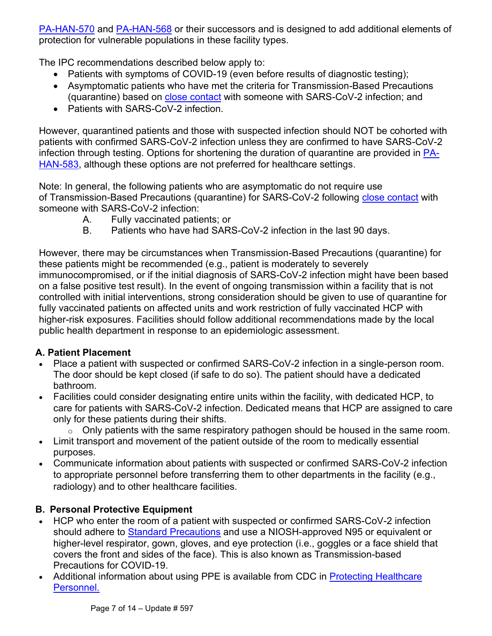[PA-HAN-570](https://www.health.pa.gov/topics/Documents/HAN/2021-570-5-10-UPD-LTCF%20OB%20Response.pdf) and [PA-HAN-568](https://www.health.pa.gov/topics/Documents/HAN/2021-568-4-30-UPD-Core%20Prevention.pdf) or their successors and is designed to add additional elements of protection for vulnerable populations in these facility types.

The IPC recommendations described below apply to:

- Patients with symptoms of COVID-19 (even before results of diagnostic testing);
- Asymptomatic patients who have met the criteria for Transmission-Based Precautions (quarantine) based on [close contact](https://www.cdc.gov/coronavirus/2019-ncov/hcp/infection-control-recommendations.html#closecontact) with someone with SARS-CoV-2 infection; and
- Patients with SARS-CoV-2 infection.

However, quarantined patients and those with suspected infection should NOT be cohorted with patients with confirmed SARS-CoV-2 infection unless they are confirmed to have SARS-CoV-2 infection through testing. Options for shortening the duration of quarantine are provided in [PA-](https://www.health.pa.gov/topics/Documents/HAN/2021-583-7-30-UPD-Fully%20Vaccinated.pdf)[HAN-583,](https://www.health.pa.gov/topics/Documents/HAN/2021-583-7-30-UPD-Fully%20Vaccinated.pdf) although these options are not preferred for healthcare settings.

Note: In general, the following patients who are asymptomatic do not require use of Transmission-Based Precautions (quarantine) for SARS-CoV-2 following [close contact](https://www.cdc.gov/coronavirus/2019-ncov/hcp/infection-control-recommendations.html#closecontact) with someone with SARS-CoV-2 infection:

- A. Fully vaccinated patients; or
- B. Patients who have had SARS-CoV-2 infection in the last 90 days.

However, there may be circumstances when Transmission-Based Precautions (quarantine) for these patients might be recommended (e.g., patient is moderately to severely immunocompromised, or if the initial diagnosis of SARS-CoV-2 infection might have been based on a false positive test result). In the event of ongoing transmission within a facility that is not controlled with initial interventions, strong consideration should be given to use of quarantine for fully vaccinated patients on affected units and work restriction of fully vaccinated HCP with higher-risk exposures. Facilities should follow additional recommendations made by the local public health department in response to an epidemiologic assessment.

### **A. Patient Placement**

- Place a patient with suspected or confirmed SARS-CoV-2 infection in a single-person room. The door should be kept closed (if safe to do so). The patient should have a dedicated bathroom.
- Facilities could consider designating entire units within the facility, with dedicated HCP, to care for patients with SARS-CoV-2 infection. Dedicated means that HCP are assigned to care only for these patients during their shifts.
	- $\circ$  Only patients with the same respiratory pathogen should be housed in the same room.
- Limit transport and movement of the patient outside of the room to medically essential purposes.
- Communicate information about patients with suspected or confirmed SARS-CoV-2 infection to appropriate personnel before transferring them to other departments in the facility (e.g., radiology) and to other healthcare facilities.

### **B. Personal Protective Equipment**

- HCP who enter the room of a patient with suspected or confirmed SARS-CoV-2 infection should adhere to [Standard Precautions](https://www.cdc.gov/hicpac/recommendations/core-practices.html) and use a NIOSH-approved N95 or equivalent or higher-level respirator, gown, gloves, and eye protection (i.e., goggles or a face shield that covers the front and sides of the face). This is also known as Transmission-based Precautions for COVID-19.
- Additional information about using PPE is available from CDC in Protecting Healthcare [Personnel.](https://www.cdc.gov/hai/prevent/ppe.html)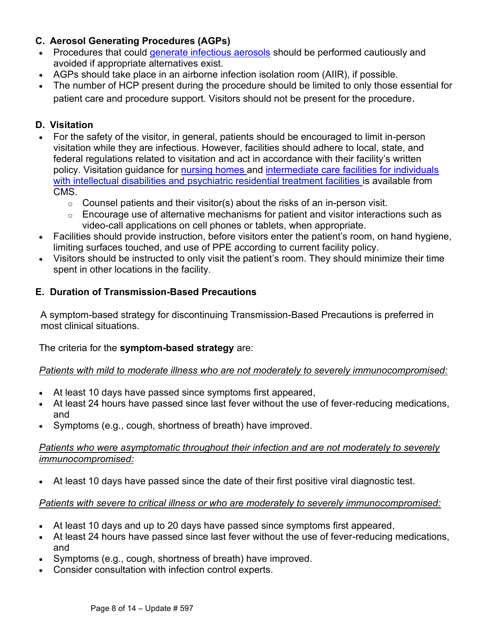### **C. Aerosol Generating Procedures (AGPs)**

- Procedures that could [generate infectious aerosols](https://www.cdc.gov/coronavirus/2019-ncov/hcp/faq.html#Infection-Control) should be performed cautiously and avoided if appropriate alternatives exist.
- AGPs should take place in an airborne infection isolation room (AIIR), if possible.
- The number of HCP present during the procedure should be limited to only those essential for patient care and procedure support. Visitors should not be present for the procedure.

### **D. Visitation**

- For the safety of the visitor, in general, patients should be encouraged to limit in-person visitation while they are infectious. However, facilities should adhere to local, state, and federal regulations related to visitation and act in accordance with their facility's written policy. Visitation guidance for [nursing homes](https://www.cms.gov/medicareprovider-enrollment-and-certificationsurveycertificationgeninfopolicy-and-memos-states-and/nursing-home-visitation-covid-19-revised) and [intermediate care facilities for individuals](https://www.cms.gov/files/document/qso-21-14-icf-iid-prtf.pdf)  [with intellectual disabilities and psychiatric residential treatment facilities](https://www.cms.gov/files/document/qso-21-14-icf-iid-prtf.pdf) is available from **CMS** 
	- $\circ$  Counsel patients and their visitor(s) about the risks of an in-person visit.
	- $\circ$  Encourage use of alternative mechanisms for patient and visitor interactions such as video-call applications on cell phones or tablets, when appropriate.
- Facilities should provide instruction, before visitors enter the patient's room, on hand hygiene, limiting surfaces touched, and use of PPE according to current facility policy.
- Visitors should be instructed to only visit the patient's room. They should minimize their time spent in other locations in the facility.

### **E. Duration of Transmission-Based Precautions**

A symptom-based strategy for discontinuing Transmission-Based Precautions is preferred in most clinical situations.

The criteria for the **symptom-based strategy** are:

#### *Patients with mild to moderate illness who are not moderately to severely immunocompromised:*

- At least 10 days have passed since symptoms first appeared,
- At least 24 hours have passed since last fever without the use of fever-reducing medications, and
- Symptoms (e.g., cough, shortness of breath) have improved.

#### *Patients who were asymptomatic throughout their infection and are not moderately to severely immunocompromised:*

• At least 10 days have passed since the date of their first positive viral diagnostic test.

#### *Patients with severe to critical illness or who are moderately to severely immunocompromised:*

- At least 10 days and up to 20 days have passed since symptoms first appeared,
- At least 24 hours have passed since last fever without the use of fever-reducing medications, and
- Symptoms (e.g., cough, shortness of breath) have improved.
- Consider consultation with infection control experts.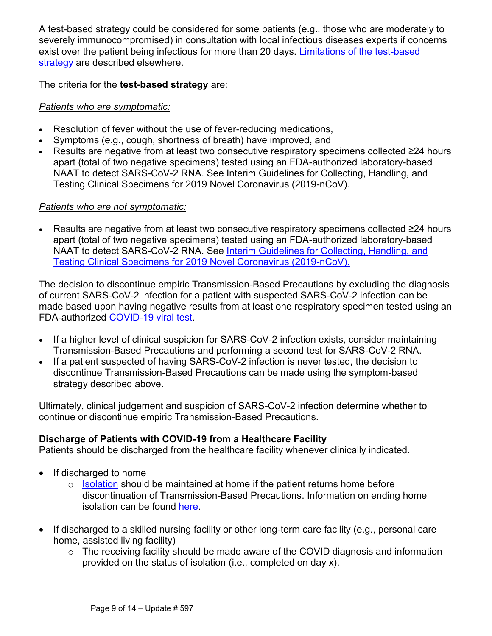A test-based strategy could be considered for some patients (e.g., those who are moderately to severely immunocompromised) in consultation with local infectious diseases experts if concerns exist over the patient being infectious for more than 20 days. [Limitations of the test-based](https://www.cdc.gov/coronavirus/2019-ncov/hcp/duration-isolation.html)  [strategy](https://www.cdc.gov/coronavirus/2019-ncov/hcp/duration-isolation.html) are described elsewhere.

The criteria for the **test-based strategy** are:

#### *Patients who are symptomatic:*

- Resolution of fever without the use of fever-reducing medications,
- Symptoms (e.g., cough, shortness of breath) have improved, and
- Results are negative from at least two consecutive respiratory specimens collected ≥24 hours apart (total of two negative specimens) tested using an FDA-authorized laboratory-based NAAT to detect SARS-CoV-2 RNA. See Interim Guidelines for Collecting, Handling, and Testing Clinical Specimens for 2019 Novel Coronavirus (2019-nCoV).

#### *Patients who are not symptomatic:*

• Results are negative from at least two consecutive respiratory specimens collected ≥24 hours apart (total of two negative specimens) tested using an FDA-authorized laboratory-based NAAT to detect SARS-CoV-2 RNA. See [Interim Guidelines for Collecting, Handling, and](https://www.cdc.gov/coronavirus/2019-ncov/lab/guidelines-clinical-specimens.html)  [Testing Clinical Specimens for 2019 Novel Coronavirus \(2019-nCoV\).](https://www.cdc.gov/coronavirus/2019-ncov/lab/guidelines-clinical-specimens.html)

The decision to discontinue empiric Transmission-Based Precautions by excluding the diagnosis of current SARS-CoV-2 infection for a patient with suspected SARS-CoV-2 infection can be made based upon having negative results from at least one respiratory specimen tested using an FDA-authorized [COVID-19 viral test.](https://www.cdc.gov/coronavirus/2019-ncov/hcp/testing-overview.html)

- If a higher level of clinical suspicion for SARS-CoV-2 infection exists, consider maintaining Transmission-Based Precautions and performing a second test for SARS-CoV-2 RNA.
- If a patient suspected of having SARS-CoV-2 infection is never tested, the decision to discontinue Transmission-Based Precautions can be made using the symptom-based strategy described above.

Ultimately, clinical judgement and suspicion of SARS-CoV-2 infection determine whether to continue or discontinue empiric Transmission-Based Precautions.

#### **Discharge of Patients with COVID-19 from a Healthcare Facility**

Patients should be discharged from the healthcare facility whenever clinically indicated.

- If discharged to home
	- $\circ$  [Isolation](https://www.cdc.gov/coronavirus/2019-ncov/your-health/quarantine-isolation.html) should be maintained at home if the patient returns home before discontinuation of Transmission-Based Precautions. Information on ending home isolation can be found [here.](https://www.cdc.gov/coronavirus/2019-ncov/hcp/disposition-in-home-patients.html)
- If discharged to a skilled nursing facility or other long-term care facility (e.g., personal care home, assisted living facility)
	- o The receiving facility should be made aware of the COVID diagnosis and information provided on the status of isolation (i.e., completed on day x).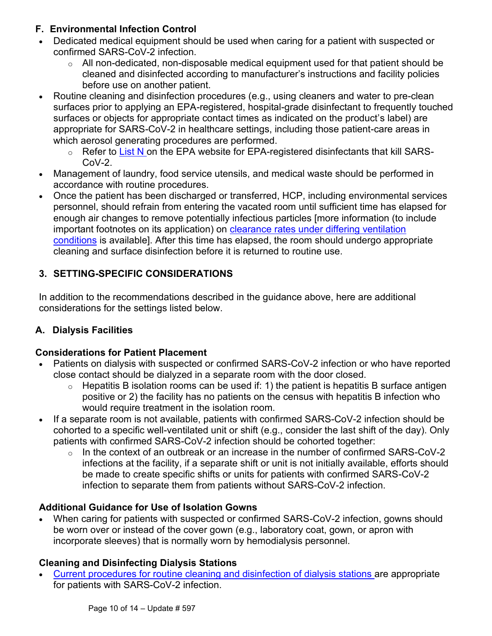### **F. Environmental Infection Control**

- Dedicated medical equipment should be used when caring for a patient with suspected or confirmed SARS-CoV-2 infection.
	- $\circ$  All non-dedicated, non-disposable medical equipment used for that patient should be cleaned and disinfected according to manufacturer's instructions and facility policies before use on another patient.
- Routine cleaning and disinfection procedures (e.g., using cleaners and water to pre-clean surfaces prior to applying an EPA-registered, hospital-grade disinfectant to frequently touched surfaces or objects for appropriate contact times as indicated on the product's label) are appropriate for SARS-CoV-2 in healthcare settings, including those patient-care areas in which aerosol generating procedures are performed.
	- $\circ$  Refer to [List N](https://www.epa.gov/coronavirus/about-list-n-disinfectants-coronavirus-covid-19-0) on the EPA website for EPA-registered disinfectants that kill SARS- $CoV-2$ .
- Management of laundry, food service utensils, and medical waste should be performed in accordance with routine procedures.
- Once the patient has been discharged or transferred, HCP, including environmental services personnel, should refrain from entering the vacated room until sufficient time has elapsed for enough air changes to remove potentially infectious particles [more information (to include important footnotes on its application) on clearance rates under differing ventilation [conditions](https://www.cdc.gov/infectioncontrol/guidelines/environmental/appendix/air.html#tableb1) is available]. After this time has elapsed, the room should undergo appropriate cleaning and surface disinfection before it is returned to routine use.

# **3. SETTING-SPECIFIC CONSIDERATIONS**

In addition to the recommendations described in the guidance above, here are additional considerations for the settings listed below.

### **A. Dialysis Facilities**

### **Considerations for Patient Placement**

- Patients on dialysis with suspected or confirmed SARS-CoV-2 infection or who have reported close contact should be dialyzed in a separate room with the door closed.
	- $\circ$  Hepatitis B isolation rooms can be used if: 1) the patient is hepatitis B surface antigen positive or 2) the facility has no patients on the census with hepatitis B infection who would require treatment in the isolation room.
- If a separate room is not available, patients with confirmed SARS-CoV-2 infection should be cohorted to a specific well-ventilated unit or shift (e.g., consider the last shift of the day). Only patients with confirmed SARS-CoV-2 infection should be cohorted together:
	- $\circ$  In the context of an outbreak or an increase in the number of confirmed SARS-CoV-2 infections at the facility, if a separate shift or unit is not initially available, efforts should be made to create specific shifts or units for patients with confirmed SARS-CoV-2 infection to separate them from patients without SARS-CoV-2 infection.

### **Additional Guidance for Use of Isolation Gowns**

• When caring for patients with suspected or confirmed SARS-CoV-2 infection, gowns should be worn over or instead of the cover gown (e.g., laboratory coat, gown, or apron with incorporate sleeves) that is normally worn by hemodialysis personnel.

### **Cleaning and Disinfecting Dialysis Stations**

• [Current procedures for routine cleaning and disinfection of dialysis stations](https://www.cdc.gov/dialysis/PDFs/collaborative/Env_notes_Feb13.pdf) are appropriate for patients with SARS-CoV-2 infection.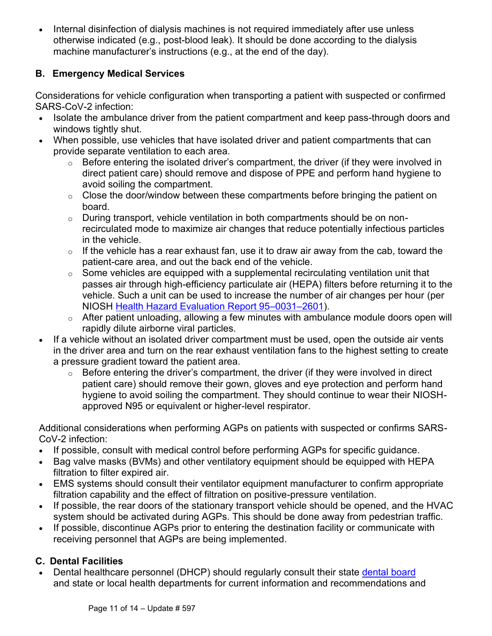• Internal disinfection of dialysis machines is not required immediately after use unless otherwise indicated (e.g., post-blood leak). It should be done according to the dialysis machine manufacturer's instructions (e.g., at the end of the day).

### **B. Emergency Medical Services**

Considerations for vehicle configuration when transporting a patient with suspected or confirmed SARS-CoV-2 infection:

- Isolate the ambulance driver from the patient compartment and keep pass-through doors and windows tightly shut.
- When possible, use vehicles that have isolated driver and patient compartments that can provide separate ventilation to each area.
	- $\circ$  Before entering the isolated driver's compartment, the driver (if they were involved in direct patient care) should remove and dispose of PPE and perform hand hygiene to avoid soiling the compartment.
	- $\circ$  Close the door/window between these compartments before bringing the patient on board.
	- $\circ$  During transport, vehicle ventilation in both compartments should be on nonrecirculated mode to maximize air changes that reduce potentially infectious particles in the vehicle.
	- $\circ$  If the vehicle has a rear exhaust fan, use it to draw air away from the cab, toward the patient-care area, and out the back end of the vehicle.
	- $\circ$  Some vehicles are equipped with a supplemental recirculating ventilation unit that passes air through high-efficiency particulate air (HEPA) filters before returning it to the vehicle. Such a unit can be used to increase the number of air changes per hour (per NIOSH [Health Hazard Evaluation Report 95](https://www.cdc.gov/niosh/docs/2020-119/pdfs/2020-119.pdf?id=10.26616/NIOSHPUB2020119)–0031–2601).
	- o After patient unloading, allowing a few minutes with ambulance module doors open will rapidly dilute airborne viral particles.
- If a vehicle without an isolated driver compartment must be used, open the outside air vents in the driver area and turn on the rear exhaust ventilation fans to the highest setting to create a pressure gradient toward the patient area.
	- $\circ$  Before entering the driver's compartment, the driver (if they were involved in direct patient care) should remove their gown, gloves and eye protection and perform hand hygiene to avoid soiling the compartment. They should continue to wear their NIOSHapproved N95 or equivalent or higher-level respirator.

Additional considerations when performing AGPs on patients with suspected or confirms SARS-CoV-2 infection:

- If possible, consult with medical control before performing AGPs for specific guidance.
- Bag valve masks (BVMs) and other ventilatory equipment should be equipped with HEPA filtration to filter expired air.
- EMS systems should consult their ventilator equipment manufacturer to confirm appropriate filtration capability and the effect of filtration on positive-pressure ventilation.
- If possible, the rear doors of the stationary transport vehicle should be opened, and the HVAC system should be activated during AGPs. This should be done away from pedestrian traffic.
- If possible, discontinue AGPs prior to entering the destination facility or communicate with receiving personnel that AGPs are being implemented.

# **C. Dental Facilities**

• Dental healthcare personnel (DHCP) should regularly consult their state [dental board](https://www.dentalboards.org/state-dental-board-list) and state or local health departments for current information and recommendations and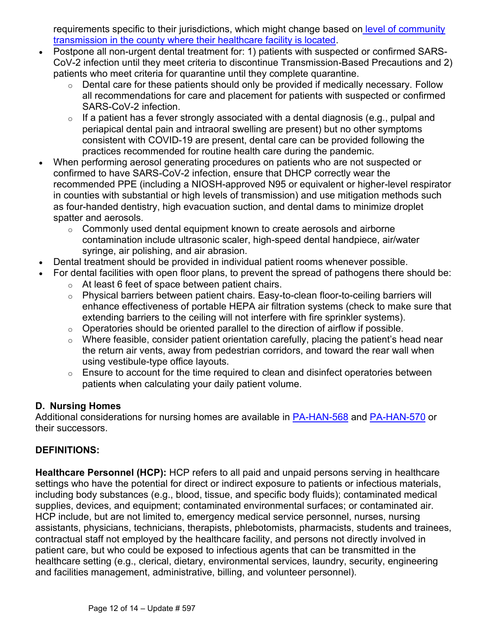requirements specific to their jurisdictions, which might change based on level of community [transmission in the county where their healthcare facility is located.](https://covid.cdc.gov/covid-data-tracker/#county-view)

- Postpone all non-urgent dental treatment for: 1) patients with suspected or confirmed SARS-CoV-2 infection until they meet criteria to discontinue Transmission-Based Precautions and 2) patients who meet criteria for quarantine until they complete quarantine.
	- o Dental care for these patients should only be provided if medically necessary. Follow all recommendations for care and placement for patients with suspected or confirmed SARS-CoV-2 infection.
	- $\circ$  If a patient has a fever strongly associated with a dental diagnosis (e.g., pulpal and periapical dental pain and intraoral swelling are present) but no other symptoms consistent with COVID-19 are present, dental care can be provided following the practices recommended for routine health care during the pandemic.
- When performing aerosol generating procedures on patients who are not suspected or confirmed to have SARS-CoV-2 infection, ensure that DHCP correctly wear the recommended PPE (including a NIOSH-approved N95 or equivalent or higher-level respirator in counties with substantial or high levels of transmission) and use mitigation methods such as four-handed dentistry, high evacuation suction, and dental dams to minimize droplet spatter and aerosols.
	- o Commonly used dental equipment known to create aerosols and airborne contamination include ultrasonic scaler, high-speed dental handpiece, air/water syringe, air polishing, and air abrasion.
- Dental treatment should be provided in individual patient rooms whenever possible.
- For dental facilities with open floor plans, to prevent the spread of pathogens there should be:
	- o At least 6 feet of space between patient chairs.
	- o Physical barriers between patient chairs. Easy-to-clean floor-to-ceiling barriers will enhance effectiveness of portable HEPA air filtration systems (check to make sure that extending barriers to the ceiling will not interfere with fire sprinkler systems).
	- $\circ$  Operatories should be oriented parallel to the direction of airflow if possible.
	- $\circ$  Where feasible, consider patient orientation carefully, placing the patient's head near the return air vents, away from pedestrian corridors, and toward the rear wall when using vestibule-type office layouts.
	- $\circ$  Ensure to account for the time required to clean and disinfect operatories between patients when calculating your daily patient volume.

#### **D. Nursing Homes**

Additional considerations for nursing homes are available in [PA-HAN-568](https://www.health.pa.gov/topics/Documents/HAN/2021-568-4-30-UPD-Core%20Prevention.pdf) and [PA-HAN-570](https://www.health.pa.gov/topics/Documents/HAN/2021-570-5-10-UPD-LTCF%20OB%20Response.pdf) or their successors.

#### **DEFINITIONS:**

**Healthcare Personnel (HCP):** HCP refers to all paid and unpaid persons serving in healthcare settings who have the potential for direct or indirect exposure to patients or infectious materials, including body substances (e.g., blood, tissue, and specific body fluids); contaminated medical supplies, devices, and equipment; contaminated environmental surfaces; or contaminated air. HCP include, but are not limited to, emergency medical service personnel, nurses, nursing assistants, physicians, technicians, therapists, phlebotomists, pharmacists, students and trainees, contractual staff not employed by the healthcare facility, and persons not directly involved in patient care, but who could be exposed to infectious agents that can be transmitted in the healthcare setting (e.g., clerical, dietary, environmental services, laundry, security, engineering and facilities management, administrative, billing, and volunteer personnel).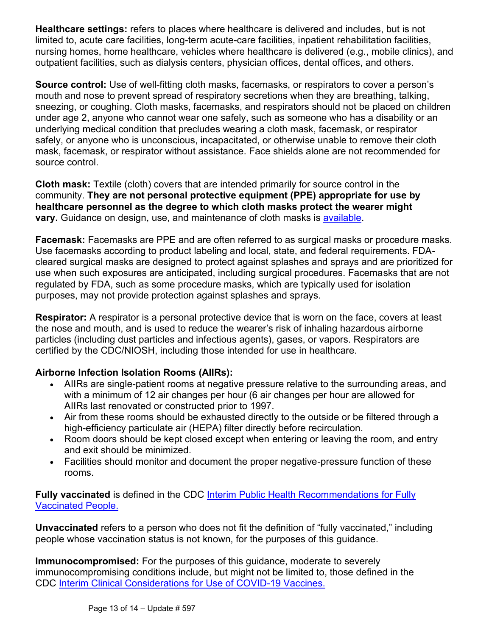**Healthcare settings:** refers to places where healthcare is delivered and includes, but is not limited to, acute care facilities, long-term acute-care facilities, inpatient rehabilitation facilities, nursing homes, home healthcare, vehicles where healthcare is delivered (e.g., mobile clinics), and outpatient facilities, such as dialysis centers, physician offices, dental offices, and others.

**Source control:** Use of well-fitting cloth masks, facemasks, or respirators to cover a person's mouth and nose to prevent spread of respiratory secretions when they are breathing, talking, sneezing, or coughing. Cloth masks, facemasks, and respirators should not be placed on children under age 2, anyone who cannot wear one safely, such as someone who has a disability or an underlying medical condition that precludes wearing a cloth mask, facemask, or respirator safely, or anyone who is unconscious, incapacitated, or otherwise unable to remove their cloth mask, facemask, or respirator without assistance. Face shields alone are not recommended for source control.

**Cloth mask:** Textile (cloth) covers that are intended primarily for source control in the community. **They are not personal protective equipment (PPE) appropriate for use by healthcare personnel as the degree to which cloth masks protect the wearer might vary.** Guidance on design, use, and maintenance of cloth masks is [available.](https://www.cdc.gov/coronavirus/2019-ncov/prevent-getting-sick/diy-cloth-face-coverings.html)

**Facemask:** Facemasks are PPE and are often referred to as surgical masks or procedure masks. Use facemasks according to product labeling and local, state, and federal requirements. FDAcleared surgical masks are designed to protect against splashes and sprays and are prioritized for use when such exposures are anticipated, including surgical procedures. Facemasks that are not regulated by FDA, such as some procedure masks, which are typically used for isolation purposes, may not provide protection against splashes and sprays.

**Respirator:** A respirator is a personal protective device that is worn on the face, covers at least the nose and mouth, and is used to reduce the wearer's risk of inhaling hazardous airborne particles (including dust particles and infectious agents), gases, or vapors. Respirators are certified by the CDC/NIOSH, including those intended for use in healthcare.

#### **Airborne Infection Isolation Rooms (AIIRs):**

- AIIRs are single-patient rooms at negative pressure relative to the surrounding areas, and with a minimum of 12 air changes per hour (6 air changes per hour are allowed for AIIRs last renovated or constructed prior to 1997.
- Air from these rooms should be exhausted directly to the outside or be filtered through a high-efficiency particulate air (HEPA) filter directly before recirculation.
- Room doors should be kept closed except when entering or leaving the room, and entry and exit should be minimized.
- Facilities should monitor and document the proper negative-pressure function of these rooms.

**Fully vaccinated** is defined in the CDC [Interim Public Health Recommendations for Fully](https://www.cdc.gov/coronavirus/2019-ncov/vaccines/fully-vaccinated-guidance.html)  [Vaccinated People.](https://www.cdc.gov/coronavirus/2019-ncov/vaccines/fully-vaccinated-guidance.html)

**Unvaccinated** refers to a person who does not fit the definition of "fully vaccinated," including people whose vaccination status is not known, for the purposes of this guidance.

**Immunocompromised:** For the purposes of this guidance, moderate to severely immunocompromising conditions include, but might not be limited to, those defined in the CDC [Interim Clinical Considerations for Use of COVID-19 Vaccines.](https://www.cdc.gov/vaccines/covid-19/clinical-considerations/covid-19-vaccines-us.html?CDC_AA_refVal=https%3A%2F%2Fwww.cdc.gov%2Fvaccines%2Fcovid-19%2Finfo-by-product%2Fclinical-considerations.html)